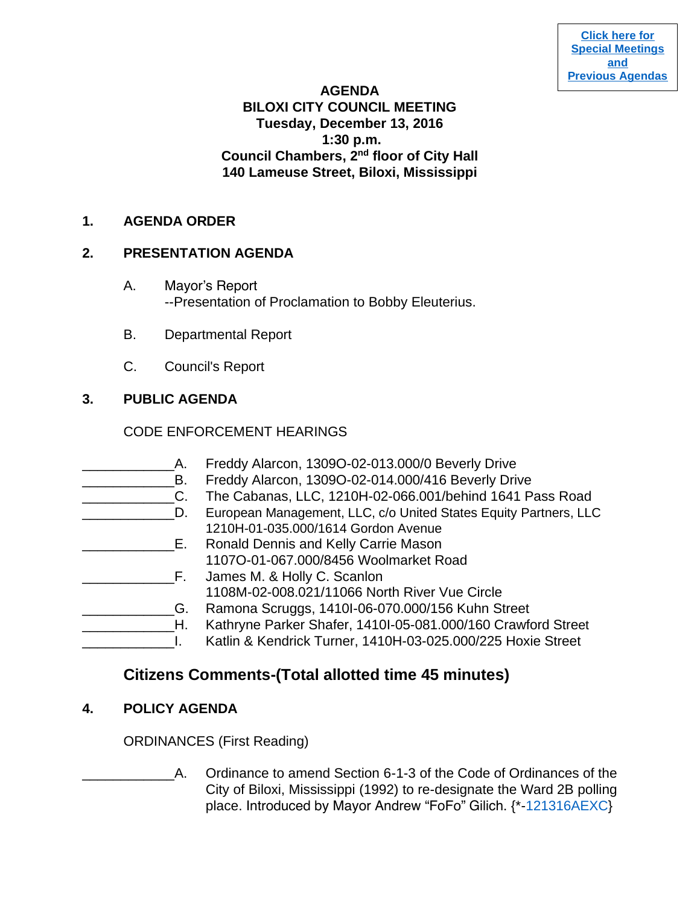**[Click here for](http://www.biloxi.ms.us/category/agendas-city-council/) [Special Meetings](http://www.biloxi.ms.us/category/agendas-city-council/) [and](http://www.biloxi.ms.us/category/agendas-city-council/) [Previous Agendas](http://www.biloxi.ms.us/category/agendas-city-council/)**

#### **AGENDA**

# **BILOXI CITY COUNCIL MEETING Tuesday, December 13, 2016 1:30 p.m. Council Chambers, 2nd floor of City Hall 140 Lameuse Street, Biloxi, Mississippi**

### **1. AGENDA ORDER**

### **2. PRESENTATION AGENDA**

- A. Mayor's Report --Presentation of Proclamation to Bobby Eleuterius.
- B. Departmental Report
- C. Council's Report

## **3. PUBLIC AGENDA**

### CODE ENFORCEMENT HEARINGS

\_\_\_\_\_\_\_\_\_\_\_\_A. Freddy Alarcon, 1309O-02-013.000/0 Beverly Drive B. Freddy Alarcon, 1309O-02-014.000/416 Beverly Drive C. The Cabanas, LLC, 1210H-02-066.001/behind 1641 Pass Road \_\_\_\_\_\_\_\_\_\_\_\_D. European Management, LLC, c/o United States Equity Partners, LLC 1210H-01-035.000/1614 Gordon Avenue **E.** Ronald Dennis and Kelly Carrie Mason 1107O-01-067.000/8456 Woolmarket Road **EXAMPLE SET ASSESS** M. & Holly C. Scanlon 1108M-02-008.021/11066 North River Vue Circle \_\_\_\_\_\_\_\_\_\_\_\_G. Ramona Scruggs, 1410I-06-070.000/156 Kuhn Street \_\_\_\_\_\_\_\_\_\_\_\_H. Kathryne Parker Shafer, 1410I-05-081.000/160 Crawford Street \_\_\_\_\_\_\_\_\_\_\_\_I. Katlin & Kendrick Turner, 1410H-03-025.000/225 Hoxie Street

# **Citizens Comments-(Total allotted time 45 minutes)**

### **4. POLICY AGENDA**

ORDINANCES (First Reading)

A. Ordinance to amend Section 6-1-3 of the Code of Ordinances of the City of Biloxi, Mississippi (1992) to re-designate the Ward 2B polling place. Introduced by Mayor Andrew "FoFo" Gilich. {\*[-121316AEXC}](https://www.biloxi.ms.us/agendas/citycouncil/2016/121316/121316aexc.pdf)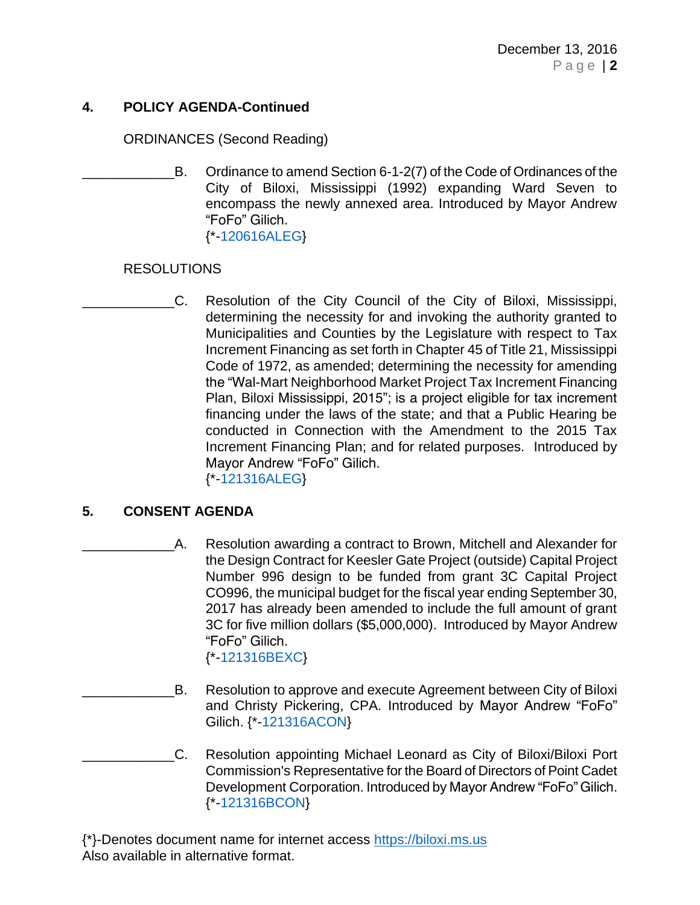### **4. POLICY AGENDA-Continued**

ORDINANCES (Second Reading)

B. Ordinance to amend Section 6-1-2(7) of the Code of Ordinances of the City of Biloxi, Mississippi (1992) expanding Ward Seven to encompass the newly annexed area. Introduced by Mayor Andrew "FoFo" Gilich. {\*[-120616ALEG}](https://www.biloxi.ms.us/agendas/citycouncil/2016/121316/120616aleg.pdf)

### RESOLUTIONS

\_\_\_\_\_\_\_\_\_\_\_\_C. Resolution of the City Council of the City of Biloxi, Mississippi, determining the necessity for and invoking the authority granted to Municipalities and Counties by the Legislature with respect to Tax Increment Financing as set forth in Chapter 45 of Title 21, Mississippi Code of 1972, as amended; determining the necessity for amending the "Wal-Mart Neighborhood Market Project Tax Increment Financing Plan, Biloxi Mississippi, 2015"; is a project eligible for tax increment financing under the laws of the state; and that a Public Hearing be conducted in Connection with the Amendment to the 2015 Tax Increment Financing Plan; and for related purposes. Introduced by Mayor Andrew "FoFo" Gilich. {\*[-121316ALEG}](https://www.biloxi.ms.us/agendas/citycouncil/2016/121316/121316aleg.pdf)

### **5. CONSENT AGENDA**

- \_\_\_\_\_\_\_\_\_\_\_\_A. Resolution awarding a contract to Brown, Mitchell and Alexander for the Design Contract for Keesler Gate Project (outside) Capital Project Number 996 design to be funded from grant 3C Capital Project CO996, the municipal budget for the fiscal year ending September 30, 2017 has already been amended to include the full amount of grant 3C for five million dollars (\$5,000,000). Introduced by Mayor Andrew "FoFo" Gilich. {\*[-121316BEXC}](https://www.biloxi.ms.us/agendas/citycouncil/2016/121316/121316bexc.pdf)
	- B. Resolution to approve and execute Agreement between City of Biloxi and Christy Pickering, CPA. Introduced by Mayor Andrew "FoFo" Gilich. {\*[-121316ACON}](https://www.biloxi.ms.us/agendas/citycouncil/2016/121316/121316acon.pdf)
- \_\_\_\_\_\_\_\_\_\_\_\_C. Resolution appointing Michael Leonard as City of Biloxi/Biloxi Port Commission's Representative for the Board of Directors of Point Cadet Development Corporation. Introduced by Mayor Andrew "FoFo" Gilich. {\*[-121316BCON}](https://www.biloxi.ms.us/agendas/citycouncil/2016/121316/121316bcon.pdf)

{\*}-Denotes document name for internet access [https://biloxi.ms.us](https://biloxi.ms.us/) Also available in alternative format.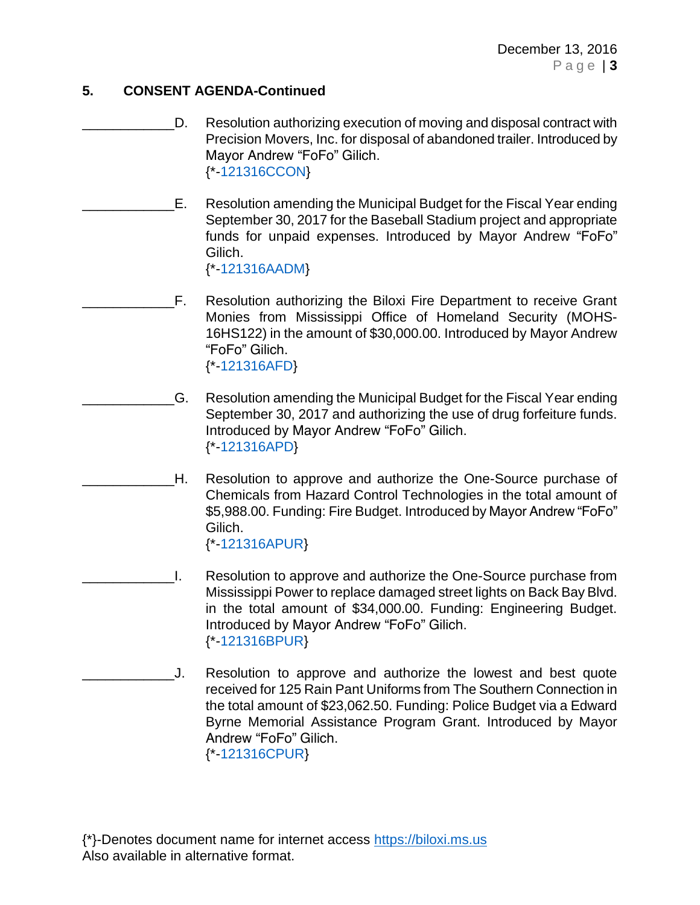### **5. CONSENT AGENDA-Continued**

- D. Resolution authorizing execution of moving and disposal contract with Precision Movers, Inc. for disposal of abandoned trailer. Introduced by Mayor Andrew "FoFo" Gilich. {\*[-121316CCON}](https://www.biloxi.ms.us/agendas/citycouncil/2016/121316/121316ccon.pdf)
- E. Resolution amending the Municipal Budget for the Fiscal Year ending September 30, 2017 for the Baseball Stadium project and appropriate funds for unpaid expenses. Introduced by Mayor Andrew "FoFo" Gilich. {\*[-121316AADM}](https://www.biloxi.ms.us/agendas/citycouncil/2016/121316/121316aadm1.pdf)
- \_\_\_\_\_\_\_\_\_\_\_\_F. Resolution authorizing the Biloxi Fire Department to receive Grant Monies from Mississippi Office of Homeland Security (MOHS-16HS122) in the amount of \$30,000.00. Introduced by Mayor Andrew "FoFo" Gilich. {\*[-121316AFD}](https://www.biloxi.ms.us/agendas/citycouncil/2016/121316/121316afd.pdf)

\_\_\_\_\_\_\_\_\_\_\_\_G. Resolution amending the Municipal Budget for the Fiscal Year ending September 30, 2017 and authorizing the use of drug forfeiture funds. Introduced by Mayor Andrew "FoFo" Gilich. {\*[-121316APD}](https://www.biloxi.ms.us/agendas/citycouncil/2016/121316/121316apd.pdf)

- <sub>\_</sub>H. Resolution to approve and authorize the One-Source purchase of Chemicals from Hazard Control Technologies in the total amount of \$5,988.00. Funding: Fire Budget. Introduced by Mayor Andrew "FoFo" Gilich. {\*[-121316APUR}](https://www.biloxi.ms.us/agendas/citycouncil/2016/121316/121316apur.pdf)
- \_\_\_\_\_\_\_\_\_\_\_\_I. Resolution to approve and authorize the One-Source purchase from Mississippi Power to replace damaged street lights on Back Bay Blvd. in the total amount of \$34,000.00. Funding: Engineering Budget. Introduced by Mayor Andrew "FoFo" Gilich. {\*[-121316BPUR}](https://www.biloxi.ms.us/agendas/citycouncil/2016/121316/121316bpur1.pdf)
- J. Resolution to approve and authorize the lowest and best quote received for 125 Rain Pant Uniforms from The Southern Connection in the total amount of \$23,062.50. Funding: Police Budget via a Edward Byrne Memorial Assistance Program Grant. Introduced by Mayor Andrew "FoFo" Gilich. {\*[-121316CPUR}](https://www.biloxi.ms.us/agendas/citycouncil/2016/121316/121316cpur.pdf)